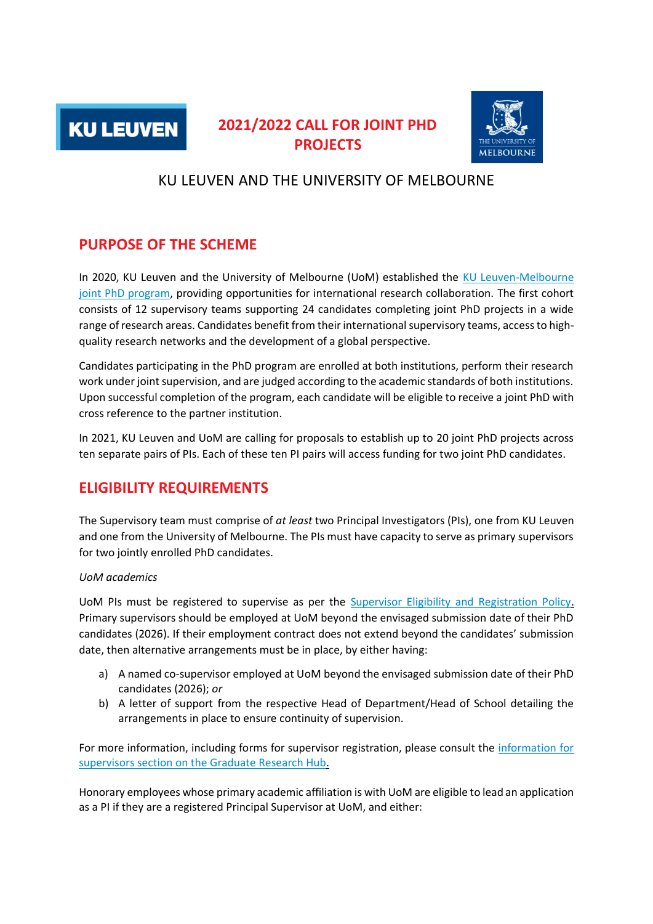

# **2021/2022 CALL FOR JOINT PHD PROJECTS**



# KU LEUVEN AND THE UNIVERSITY OF MELBOURNE

# **PURPOSE OF THE SCHEME**

In 2020, KU Leuven and the University of Melbourne (UoM) established the KU Leuven-Melbourne [joint PhD program,](https://melkul.research.unimelb.edu.au/) providing opportunities for international research collaboration. The first cohort consists of 12 supervisory teams supporting 24 candidates completing joint PhD projects in a wide range of research areas. Candidates benefit from their internationalsupervisory teams, access to highquality research networks and the development of a global perspective.

Candidates participating in the PhD program are enrolled at both institutions, perform their research work under joint supervision, and are judged according to the academic standards of both institutions. Upon successful completion of the program, each candidate will be eligible to receive a joint PhD with cross reference to the partner institution.

In 2021, KU Leuven and UoM are calling for proposals to establish up to 20 joint PhD projects across ten separate pairs of PIs. Each of these ten PI pairs will access funding for two joint PhD candidates.

# **ELIGIBILITY REQUIREMENTS**

The Supervisory team must comprise of *at least* two Principal Investigators (PIs), one from KU Leuven and one from the University of Melbourne. The PIs must have capacity to serve as primary supervisors for two jointly enrolled PhD candidates.

### *UoM academics*

UoM PIs must be registered to supervise as per the [Supervisor Eligibility and Registration Policy.](https://policy.unimelb.edu.au/MPF1322) Primary supervisors should be employed at UoM beyond the envisaged submission date of their PhD candidates (2026). If their employment contract does not extend beyond the candidates' submission date, then alternative arrangements must be in place, by either having:

- a) A named co-supervisor employed at UoM beyond the envisaged submission date of their PhD candidates (2026); *or*
- b) A letter of support from the respective Head of Department/Head of School detailing the arrangements in place to ensure continuity of supervision.

For more information, including forms for supervisor registration, please consult the [information for](https://gradresearch.unimelb.edu.au/staff/supervisors)  [supervisors section on the Graduate Research Hub.](https://gradresearch.unimelb.edu.au/staff/supervisors)

Honorary employees whose primary academic affiliation is with UoM are eligible to lead an application as a PI if they are a registered Principal Supervisor at UoM, and either: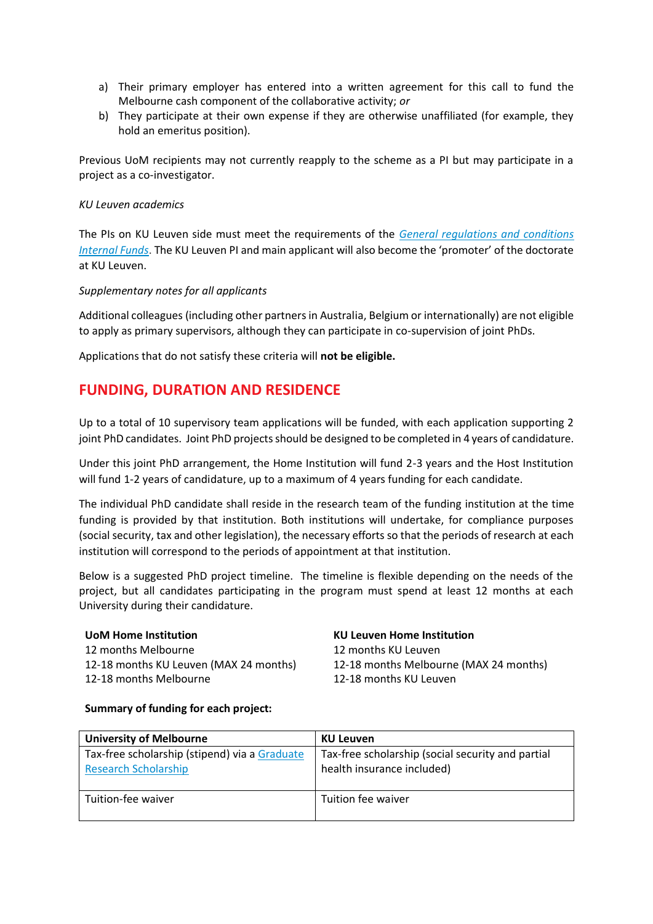- a) Their primary employer has entered into a written agreement for this call to fund the Melbourne cash component of the collaborative activity; *or*
- b) They participate at their own expense if they are otherwise unaffiliated (for example, they hold an emeritus position).

Previous UoM recipients may not currently reapply to the scheme as a PI but may participate in a project as a co-investigator.

### *KU Leuven academics*

The PIs on KU Leuven side must meet the requirements of the *[General regulations and conditions](https://www.kuleuven.be/english/research/associatienet/doc/if/documents/regulations.pdf)  [Internal Funds](https://www.kuleuven.be/english/research/associatienet/doc/if/documents/regulations.pdf)*. The KU Leuven PI and main applicant will also become the 'promoter' of the doctorate at KU Leuven.

### *Supplementary notes for all applicants*

Additional colleagues (including other partners in Australia, Belgium or internationally) are not eligible to apply as primary supervisors, although they can participate in co-supervision of joint PhDs.

Applications that do not satisfy these criteria will **not be eligible.**

## **FUNDING, DURATION AND RESIDENCE**

Up to a total of 10 supervisory team applications will be funded, with each application supporting 2 joint PhD candidates. Joint PhD projects should be designed to be completed in 4 years of candidature.

Under this joint PhD arrangement, the Home Institution will fund 2-3 years and the Host Institution will fund 1-2 years of candidature, up to a maximum of 4 years funding for each candidate.

The individual PhD candidate shall reside in the research team of the funding institution at the time funding is provided by that institution. Both institutions will undertake, for compliance purposes (social security, tax and other legislation), the necessary efforts so that the periods of research at each institution will correspond to the periods of appointment at that institution.

Below is a suggested PhD project timeline. The timeline is flexible depending on the needs of the project, but all candidates participating in the program must spend at least 12 months at each University during their candidature.

### **UoM Home Institution**

12 months Melbourne 12-18 months KU Leuven (MAX 24 months) 12-18 months Melbourne

**KU Leuven Home Institution** 12 months KU Leuven 12-18 months Melbourne (MAX 24 months) 12-18 months KU Leuven

#### **Summary of funding for each project:**

| <b>University of Melbourne</b>                                               | <b>KU Leuven</b>                                                                |
|------------------------------------------------------------------------------|---------------------------------------------------------------------------------|
| Tax-free scholarship (stipend) via a Graduate<br><b>Research Scholarship</b> | Tax-free scholarship (social security and partial<br>health insurance included) |
|                                                                              |                                                                                 |
| Tuition-fee waiver                                                           | Tuition fee waiver                                                              |
|                                                                              |                                                                                 |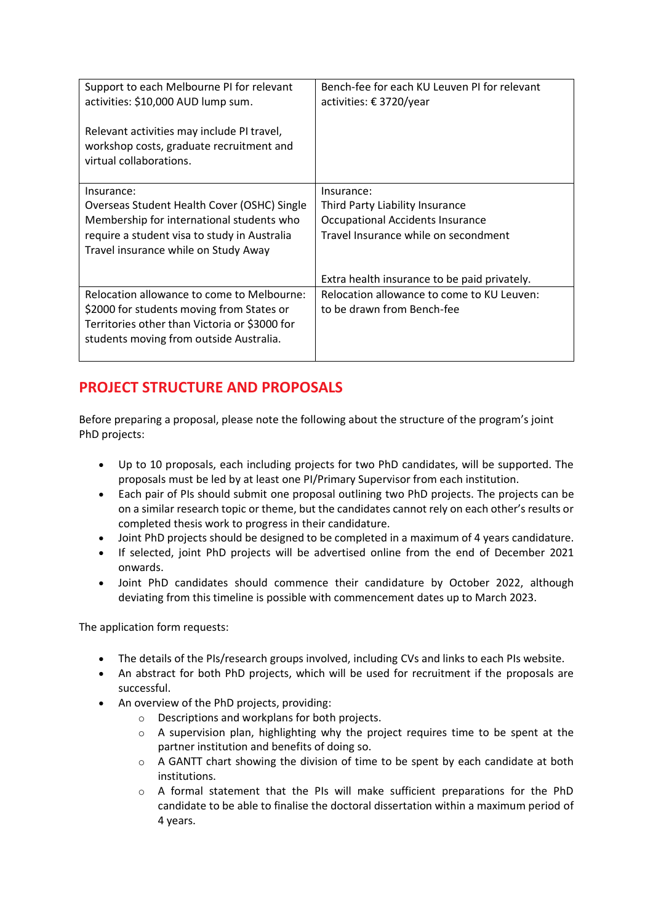| Support to each Melbourne PI for relevant<br>activities: \$10,000 AUD lump sum.<br>Relevant activities may include PI travel,<br>workshop costs, graduate recruitment and<br>virtual collaborations. | Bench-fee for each KU Leuven PI for relevant<br>activities: € 3720/year                                                   |
|------------------------------------------------------------------------------------------------------------------------------------------------------------------------------------------------------|---------------------------------------------------------------------------------------------------------------------------|
| Insurance:<br>Overseas Student Health Cover (OSHC) Single<br>Membership for international students who<br>require a student visa to study in Australia<br>Travel insurance while on Study Away       | Insurance:<br>Third Party Liability Insurance<br>Occupational Accidents Insurance<br>Travel Insurance while on secondment |
|                                                                                                                                                                                                      | Extra health insurance to be paid privately.                                                                              |
| Relocation allowance to come to Melbourne:<br>\$2000 for students moving from States or<br>Territories other than Victoria or \$3000 for<br>students moving from outside Australia.                  | Relocation allowance to come to KU Leuven:<br>to be drawn from Bench-fee                                                  |

# **PROJECT STRUCTURE AND PROPOSALS**

Before preparing a proposal, please note the following about the structure of the program's joint PhD projects:

- Up to 10 proposals, each including projects for two PhD candidates, will be supported. The proposals must be led by at least one PI/Primary Supervisor from each institution.
- Each pair of PIs should submit one proposal outlining two PhD projects. The projects can be on a similar research topic or theme, but the candidates cannot rely on each other's results or completed thesis work to progress in their candidature.
- Joint PhD projects should be designed to be completed in a maximum of 4 years candidature.
- If selected, joint PhD projects will be advertised online from the end of December 2021 onwards.
- Joint PhD candidates should commence their candidature by October 2022, although deviating from this timeline is possible with commencement dates up to March 2023.

The application form requests:

- The details of the PIs/research groups involved, including CVs and links to each PIs website.
- An abstract for both PhD projects, which will be used for recruitment if the proposals are successful.
- An overview of the PhD projects, providing:
	- o Descriptions and workplans for both projects.
	- o A supervision plan, highlighting why the project requires time to be spent at the partner institution and benefits of doing so.
	- $\circ$  A GANTT chart showing the division of time to be spent by each candidate at both institutions.
	- $\circ$  A formal statement that the PIs will make sufficient preparations for the PhD candidate to be able to finalise the doctoral dissertation within a maximum period of 4 years.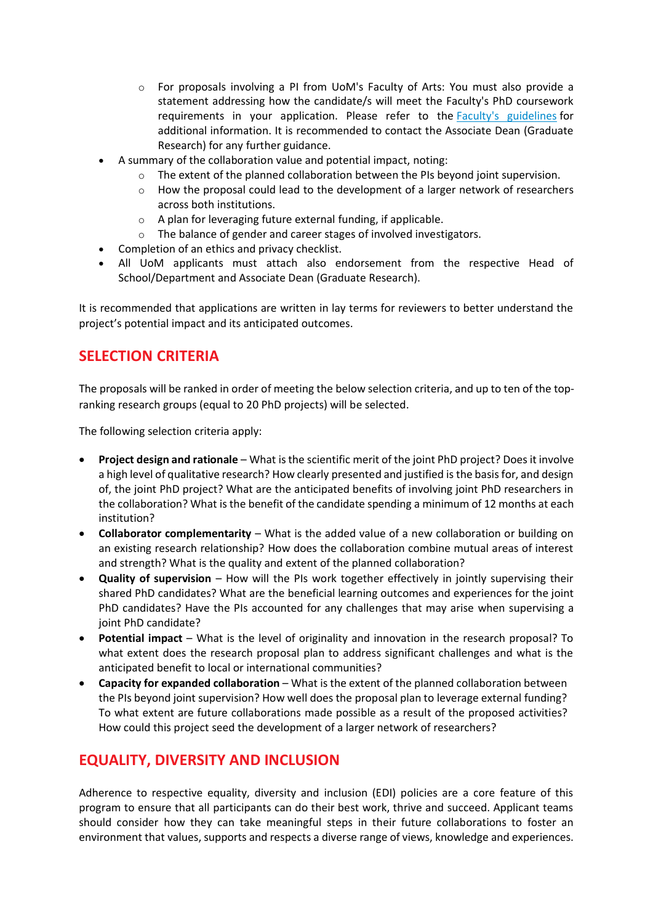- $\circ$  For proposals involving a PI from UoM's Faculty of Arts: You must also provide a statement addressing how the candidate/s will meet the Faculty's PhD coursework requirements in your application. Please refer to the [Faculty's guidelines](https://gateway.research.unimelb.edu.au/resources/graduate-research/joint-phds-IRTGs/IRTGs-and-PhD-Coursework-Faculty-of-Arts-Oct-2019.pdf) for additional information. It is recommended to contact the Associate Dean (Graduate Research) for any further guidance.
- A summary of the collaboration value and potential impact, noting:
	- $\circ$  The extent of the planned collaboration between the PIs beyond joint supervision.
	- $\circ$  How the proposal could lead to the development of a larger network of researchers across both institutions.
	- o A plan for leveraging future external funding, if applicable.
	- o The balance of gender and career stages of involved investigators.
- Completion of an ethics and privacy checklist.
- All UoM applicants must attach also endorsement from the respective Head of School/Department and Associate Dean (Graduate Research).

It is recommended that applications are written in lay terms for reviewers to better understand the project's potential impact and its anticipated outcomes.

# **SELECTION CRITERIA**

The proposals will be ranked in order of meeting the below selection criteria, and up to ten of the topranking research groups (equal to 20 PhD projects) will be selected.

The following selection criteria apply:

- **Project design and rationale** What is the scientific merit of the joint PhD project? Does it involve a high level of qualitative research? How clearly presented and justified is the basis for, and design of, the joint PhD project? What are the anticipated benefits of involving joint PhD researchers in the collaboration? What is the benefit of the candidate spending a minimum of 12 months at each institution?
- **Collaborator complementarity** What is the added value of a new collaboration or building on an existing research relationship? How does the collaboration combine mutual areas of interest and strength? What is the quality and extent of the planned collaboration?
- **Quality of supervision** How will the PIs work together effectively in jointly supervising their shared PhD candidates? What are the beneficial learning outcomes and experiences for the joint PhD candidates? Have the PIs accounted for any challenges that may arise when supervising a joint PhD candidate?
- **Potential impact**  What is the level of originality and innovation in the research proposal? To what extent does the research proposal plan to address significant challenges and what is the anticipated benefit to local or international communities?
- **Capacity for expanded collaboration** What is the extent of the planned collaboration between the PIs beyond joint supervision? How well does the proposal plan to leverage external funding? To what extent are future collaborations made possible as a result of the proposed activities? How could this project seed the development of a larger network of researchers?

# **EQUALITY, DIVERSITY AND INCLUSION**

Adherence to respective equality, diversity and inclusion (EDI) policies are a core feature of this program to ensure that all participants can do their best work, thrive and succeed. Applicant teams should consider how they can take meaningful steps in their future collaborations to foster an environment that values, supports and respects a diverse range of views, knowledge and experiences.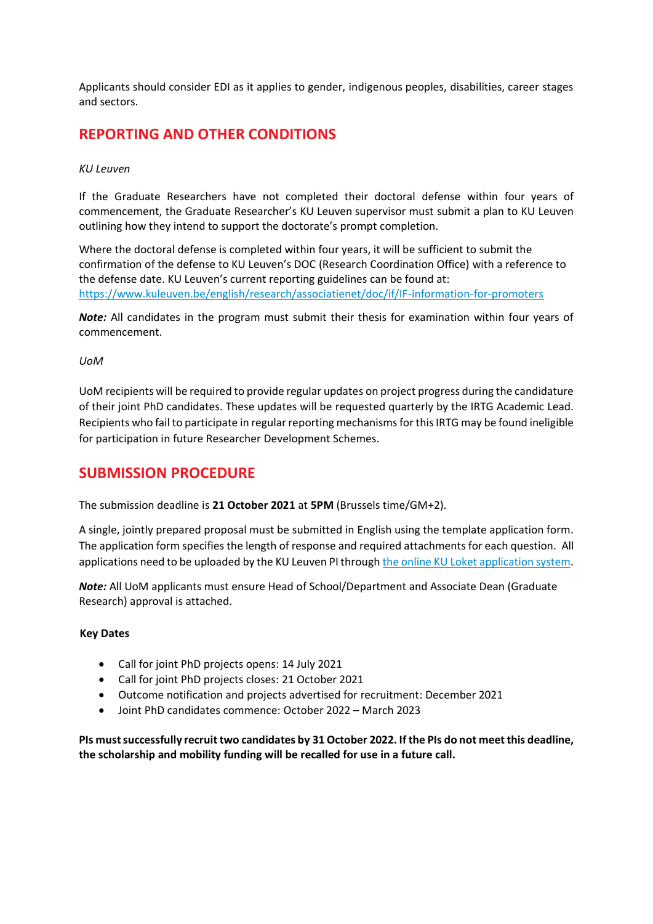Applicants should consider EDI as it applies to gender, indigenous peoples, disabilities, career stages and sectors.

## **REPORTING AND OTHER CONDITIONS**

### *KU Leuven*

If the Graduate Researchers have not completed their doctoral defense within four years of commencement, the Graduate Researcher's KU Leuven supervisor must submit a plan to KU Leuven outlining how they intend to support the doctorate's prompt completion.

Where the doctoral defense is completed within four years, it will be sufficient to submit the confirmation of the defense to KU Leuven's DOC (Research Coordination Office) with a reference to the defense date. KU Leuven's current reporting guidelines can be found at: <https://www.kuleuven.be/english/research/associatienet/doc/if/IF-information-for-promoters>

*Note:* All candidates in the program must submit their thesis for examination within four years of commencement.

*UoM* 

UoM recipients will be required to provide regular updates on project progress during the candidature of their joint PhD candidates. These updates will be requested quarterly by the IRTG Academic Lead. Recipients who fail to participate in regular reporting mechanisms for this IRTG may be found ineligible for participation in future Researcher Development Schemes.

## **SUBMISSION PROCEDURE**

The submission deadline is **21 October 2021** at **5PM** (Brussels time/GM+2).

A single, jointly prepared proposal must be submitted in English using the template application form. The application form specifies the length of response and required attachments for each question. All applications need to be uploaded by the KU Leuven PI through [the online KU Loket application system.](https://www.kuleuven.be/onderzoek/gedocumenteerd/)

*Note:* All UoM applicants must ensure Head of School/Department and Associate Dean (Graduate Research) approval is attached.

### **Key Dates**

- Call for joint PhD projects opens: 14 July 2021
- Call for joint PhD projects closes: 21 October 2021
- Outcome notification and projects advertised for recruitment: December 2021
- Joint PhD candidates commence: October 2022 March 2023

**PIs must successfully recruit two candidates by 31 October 2022. If the PIs do not meet this deadline, the scholarship and mobility funding will be recalled for use in a future call.**